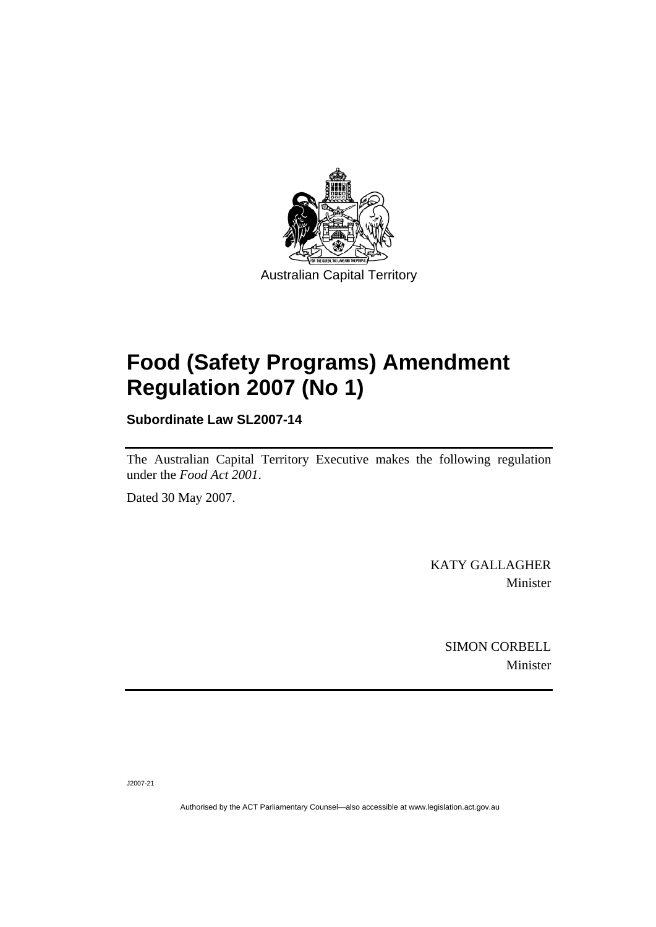

## **Food (Safety Programs) Amendment Regulation 2007 (No 1)**

**Subordinate Law SL2007-14** 

The Australian Capital Territory Executive makes the following regulation under the *Food Act 2001*.

Dated 30 May 2007.

KATY GALLAGHER Minister

> SIMON CORBELL Minister

J2007-21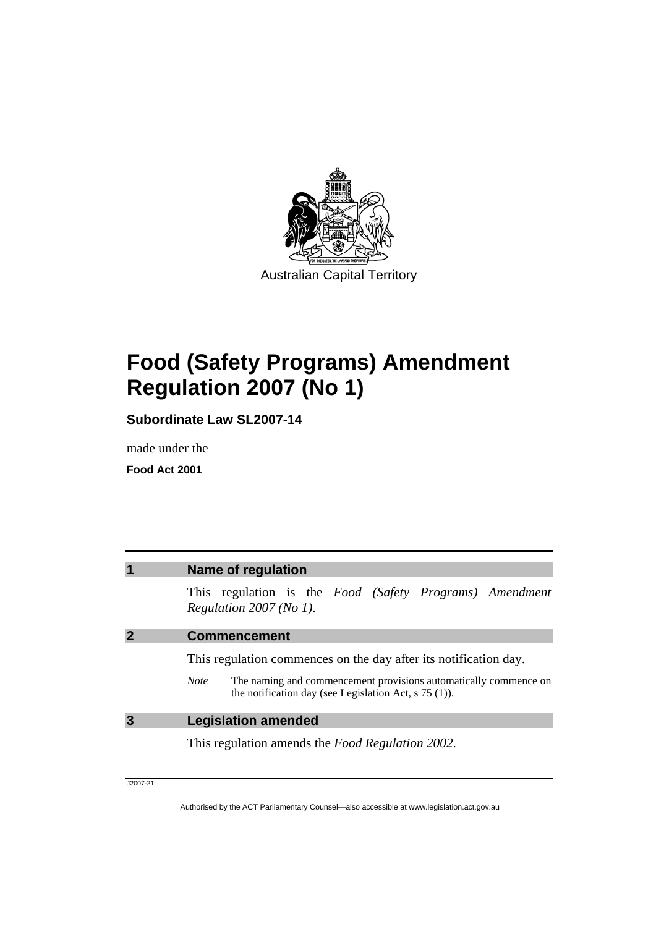

# **Food (Safety Programs) Amendment Regulation 2007 (No 1)**

**Subordinate Law SL2007-14** 

made under the

**Food Act 2001**

| <b>Name of regulation</b>                                                                                                                  |  |  |
|--------------------------------------------------------------------------------------------------------------------------------------------|--|--|
| This regulation is the <i>Food</i> (Safety Programs) Amendment<br>Regulation $2007$ (No 1).                                                |  |  |
| <b>Commencement</b>                                                                                                                        |  |  |
| This regulation commences on the day after its notification day.                                                                           |  |  |
| The naming and commencement provisions automatically commence on<br><b>Note</b><br>the notification day (see Legislation Act, $s$ 75 (1)). |  |  |
| <b>Legislation amended</b>                                                                                                                 |  |  |
| This regulation amends the Food Regulation 2002.                                                                                           |  |  |
|                                                                                                                                            |  |  |

J2007-21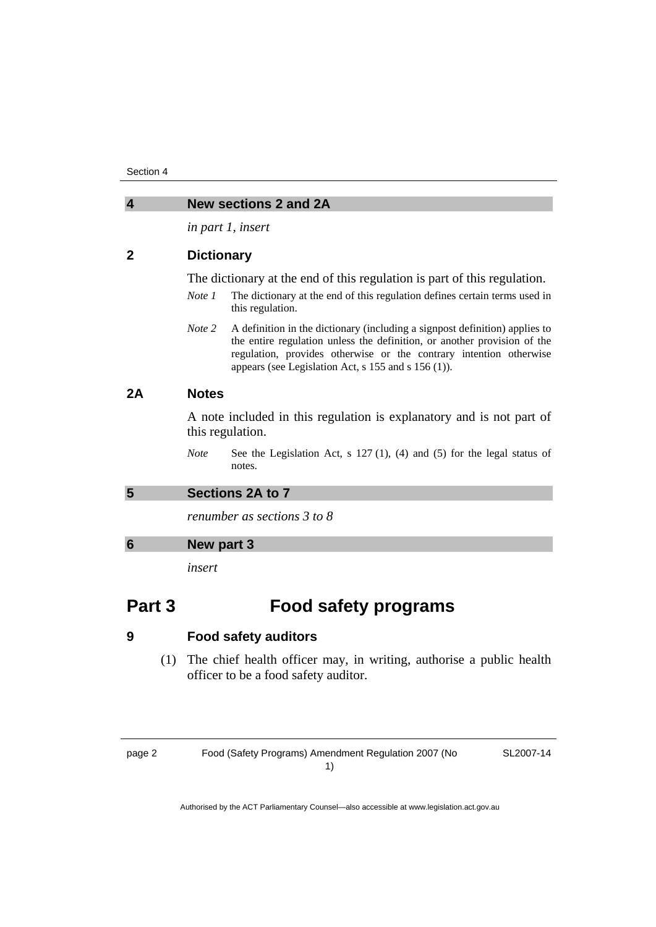| $\overline{\mathbf{4}}$ | <b>New sections 2 and 2A</b>                                                                             |                                                                                                                                                                                                                                                                                      |  |
|-------------------------|----------------------------------------------------------------------------------------------------------|--------------------------------------------------------------------------------------------------------------------------------------------------------------------------------------------------------------------------------------------------------------------------------------|--|
|                         | in part 1, insert                                                                                        |                                                                                                                                                                                                                                                                                      |  |
| $\mathbf{2}$            | <b>Dictionary</b>                                                                                        |                                                                                                                                                                                                                                                                                      |  |
|                         | The dictionary at the end of this regulation is part of this regulation.                                 |                                                                                                                                                                                                                                                                                      |  |
|                         | Note 1                                                                                                   | The dictionary at the end of this regulation defines certain terms used in<br>this regulation.                                                                                                                                                                                       |  |
|                         | Note 2                                                                                                   | A definition in the dictionary (including a signpost definition) applies to<br>the entire regulation unless the definition, or another provision of the<br>regulation, provides otherwise or the contrary intention otherwise<br>appears (see Legislation Act, s 155 and s 156 (1)). |  |
| 2A                      | <b>Notes</b><br>A note included in this regulation is explanatory and is not part of<br>this regulation. |                                                                                                                                                                                                                                                                                      |  |
|                         |                                                                                                          |                                                                                                                                                                                                                                                                                      |  |
|                         | <b>Note</b>                                                                                              | See the Legislation Act, $s$ 127(1), (4) and (5) for the legal status of<br>notes.                                                                                                                                                                                                   |  |
| 5                       | Sections 2A to 7                                                                                         |                                                                                                                                                                                                                                                                                      |  |
|                         | renumber as sections 3 to 8                                                                              |                                                                                                                                                                                                                                                                                      |  |
| 6                       | New part 3                                                                                               |                                                                                                                                                                                                                                                                                      |  |
|                         | insert                                                                                                   |                                                                                                                                                                                                                                                                                      |  |
| Part 3                  |                                                                                                          | <b>Food safety programs</b>                                                                                                                                                                                                                                                          |  |

### **9 Food safety auditors**

 (1) The chief health officer may, in writing, authorise a public health officer to be a food safety auditor.

page 2 Food (Safety Programs) Amendment Regulation 2007 (No 1)

SL2007-14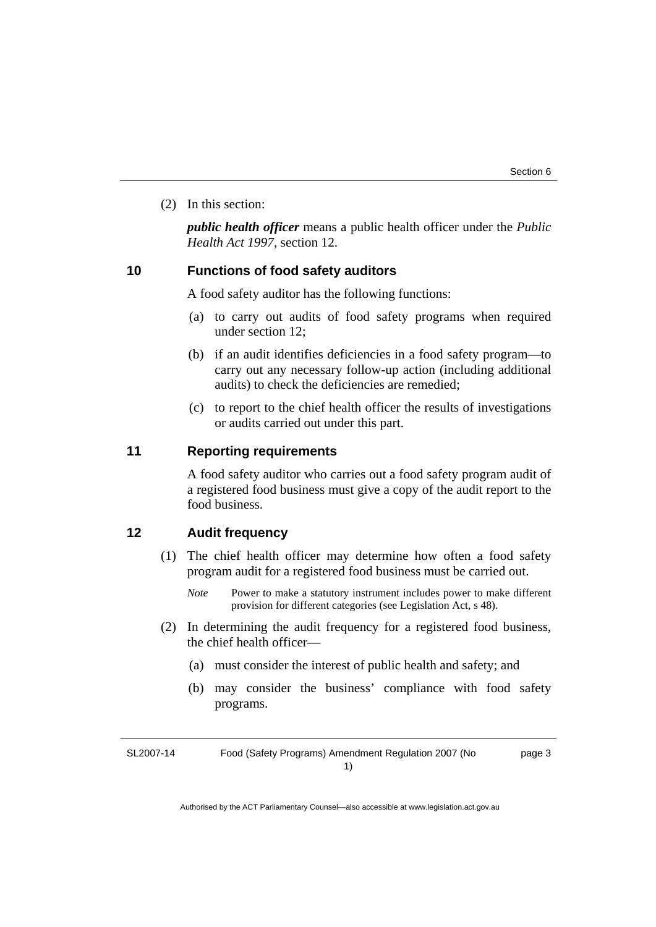(2) In this section:

*public health officer* means a public health officer under the *Public Health Act 1997*, section 12.

#### **10 Functions of food safety auditors**

A food safety auditor has the following functions:

- (a) to carry out audits of food safety programs when required under section 12;
- (b) if an audit identifies deficiencies in a food safety program—to carry out any necessary follow-up action (including additional audits) to check the deficiencies are remedied;
- (c) to report to the chief health officer the results of investigations or audits carried out under this part.

#### **11 Reporting requirements**

A food safety auditor who carries out a food safety program audit of a registered food business must give a copy of the audit report to the food business.

#### **12 Audit frequency**

- (1) The chief health officer may determine how often a food safety program audit for a registered food business must be carried out.
	- *Note* Power to make a statutory instrument includes power to make different provision for different categories (see Legislation Act, s 48).
- (2) In determining the audit frequency for a registered food business, the chief health officer—
	- (a) must consider the interest of public health and safety; and
	- (b) may consider the business' compliance with food safety programs.

SL2007-14 Food (Safety Programs) Amendment Regulation 2007 (No 1)

page 3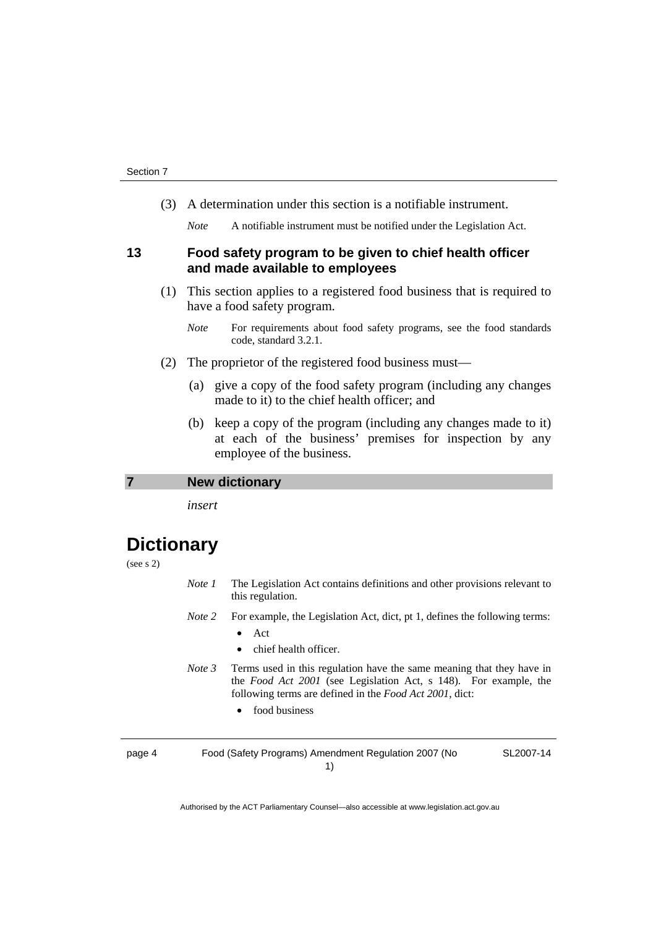(3) A determination under this section is a notifiable instrument.

*Note* A notifiable instrument must be notified under the Legislation Act.

#### **13 Food safety program to be given to chief health officer and made available to employees**

- (1) This section applies to a registered food business that is required to have a food safety program.
	- *Note* For requirements about food safety programs, see the food standards code, standard 3.2.1.
- (2) The proprietor of the registered food business must—
	- (a) give a copy of the food safety program (including any changes made to it) to the chief health officer; and
	- (b) keep a copy of the program (including any changes made to it) at each of the business' premises for inspection by any employee of the business.

**7 New dictionary** 

*insert* 

### **Dictionary**

(see s 2)

- *Note 1* The Legislation Act contains definitions and other provisions relevant to this regulation.
- *Note 2* For example, the Legislation Act, dict, pt 1, defines the following terms:
	- Act
	- chief health officer.
- *Note 3* Terms used in this regulation have the same meaning that they have in the *Food Act 2001* (see Legislation Act, s 148). For example, the following terms are defined in the *Food Act 2001*, dict:
	- food business

page 4 Food (Safety Programs) Amendment Regulation 2007 (No 1)

SL2007-14